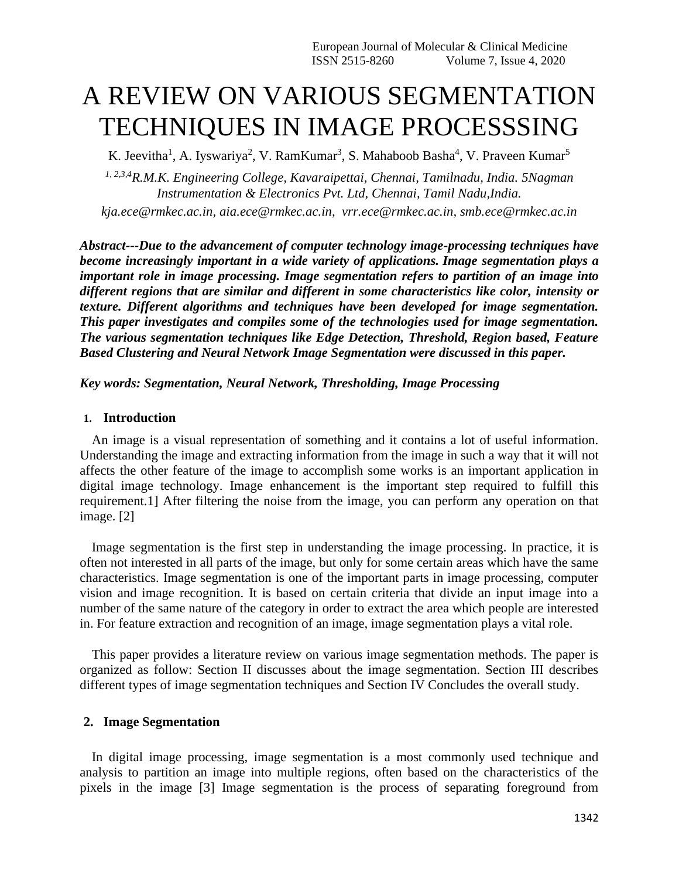# A REVIEW ON VARIOUS SEGMENTATION TECHNIQUES IN IMAGE PROCESSSING

K. Jeevitha<sup>1</sup>, A. Iyswariya<sup>2</sup>, V. RamKumar<sup>3</sup>, S. Mahaboob Basha<sup>4</sup>, V. Praveen Kumar<sup>5</sup>

*1, 2,3,4R.M.K. Engineering College, Kavaraipettai, Chennai, Tamilnadu, India. 5Nagman Instrumentation & Electronics Pvt. Ltd, Chennai, Tamil Nadu,India.*

*[kja.ece@rmkec.ac.in,](mailto:kja.ece@rmkec.ac.in) [aia.ece@rmkec.ac.in,](mailto:aia.ece@rmkec.ac.in) [vrr.ece@rmkec.ac.in,](mailto:vrr.ece@rmkec.ac.in) [smb.ece@rmkec.ac.in](mailto:smb.ece@rmkec.ac.in)*

*Abstract---Due to the advancement of computer technology image-processing techniques have become increasingly important in a wide variety of applications. Image segmentation plays a important role in image processing. Image segmentation refers to partition of an image into different regions that are similar and different in some characteristics like color, intensity or texture. Different algorithms and techniques have been developed for image segmentation. This paper investigates and compiles some of the technologies used for image segmentation. The various segmentation techniques like Edge Detection, Threshold, Region based, Feature Based Clustering and Neural Network Image Segmentation were discussed in this paper.*

## *Key words: Segmentation, Neural Network, Thresholding, Image Processing*

## **1. Introduction**

An image is a visual representation of something and it contains a lot of useful information. Understanding the image and extracting information from the image in such a way that it will not affects the other feature of the image to accomplish some works is an important application in digital image technology. Image enhancement is the important step required to fulfill this requirement.1] After filtering the noise from the image, you can perform any operation on that image. [2]

Image segmentation is the first step in understanding the image processing. In practice, it is often not interested in all parts of the image, but only for some certain areas which have the same characteristics. Image segmentation is one of the important parts in image processing, computer vision and image recognition. It is based on certain criteria that divide an input image into a number of the same nature of the category in order to extract the area which people are interested in. For feature extraction and recognition of an image, image segmentation plays a vital role.

This paper provides a literature review on various image segmentation methods. The paper is organized as follow: Section II discusses about the image segmentation. Section III describes different types of image segmentation techniques and Section IV Concludes the overall study.

## **2. Image Segmentation**

In digital image processing, image segmentation is a most commonly used technique and analysis to partition an image into multiple regions, often based on the characteristics of the pixels in the image [3] Image segmentation is the process of separating foreground from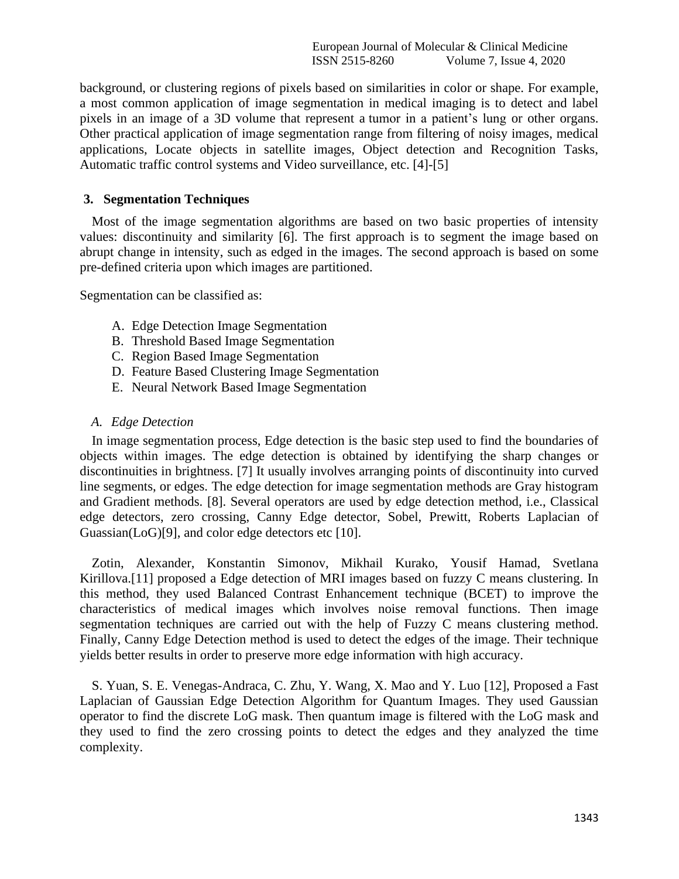European Journal of Molecular & Clinical Medicine ISSN 2515-8260 Volume 7, Issue 4, 2020

background, or clustering regions of pixels based on similarities in color or shape. For example, a most common application of image segmentation in medical imaging is to detect and label pixels in an image of a 3D volume that represent a tumor in a patient's lung or other organs. Other practical application of image segmentation range from filtering of noisy images, medical applications, Locate objects in satellite images, Object detection and Recognition Tasks, Automatic traffic control systems and Video surveillance, etc. [4]-[5]

## **3. Segmentation Techniques**

Most of the image segmentation algorithms are based on two basic properties of intensity values: discontinuity and similarity [6]. The first approach is to segment the image based on abrupt change in intensity, such as edged in the images. The second approach is based on some pre-defined criteria upon which images are partitioned.

Segmentation can be classified as:

- A. Edge Detection Image Segmentation
- B. Threshold Based Image Segmentation
- C. Region Based Image Segmentation
- D. Feature Based Clustering Image Segmentation
- E. Neural Network Based Image Segmentation

## *A. Edge Detection*

In image segmentation process, Edge detection is the basic step used to find the boundaries of objects within images. The edge detection is obtained by identifying the sharp changes or discontinuities in brightness. [7] It usually involves arranging points of discontinuity into curved line segments, or edges. The edge detection for image segmentation methods are Gray histogram and Gradient methods. [8]. Several operators are used by edge detection method, i.e., Classical edge detectors, zero crossing, Canny Edge detector, Sobel, Prewitt, Roberts Laplacian of Guassian(LoG)[9], and color edge detectors etc [10].

Zotin, Alexander, Konstantin Simonov, Mikhail Kurako, Yousif Hamad, Svetlana Kirillova.[11] proposed a Edge detection of MRI images based on fuzzy C means clustering. In this method, they used Balanced Contrast Enhancement technique (BCET) to improve the characteristics of medical images which involves noise removal functions. Then image segmentation techniques are carried out with the help of Fuzzy C means clustering method. Finally, Canny Edge Detection method is used to detect the edges of the image. Their technique yields better results in order to preserve more edge information with high accuracy.

S. Yuan, S. E. Venegas-Andraca, C. Zhu, Y. Wang, X. Mao and Y. Luo [12], Proposed a Fast Laplacian of Gaussian Edge Detection Algorithm for Quantum Images. They used Gaussian operator to find the discrete LoG mask. Then quantum image is filtered with the LoG mask and they used to find the zero crossing points to detect the edges and they analyzed the time complexity.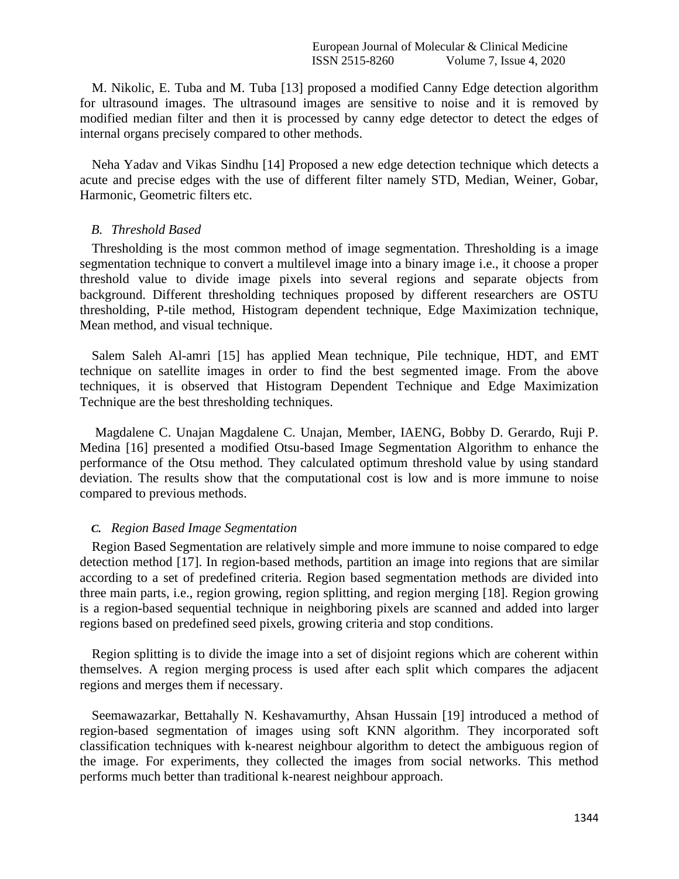European Journal of Molecular & Clinical Medicine ISSN 2515-8260 Volume 7, Issue 4, 2020

M. Nikolic, E. Tuba and M. Tuba [13] proposed a modified Canny Edge detection algorithm for ultrasound images. The ultrasound images are sensitive to noise and it is removed by modified median filter and then it is processed by canny edge detector to detect the edges of internal organs precisely compared to other methods.

Neha Yadav and Vikas Sindhu [14] Proposed a new edge detection technique which detects a acute and precise edges with the use of different filter namely STD, Median, Weiner, Gobar, Harmonic, Geometric filters etc.

#### *B. Threshold Based*

Thresholding is the most common method of image segmentation. Thresholding is a image segmentation technique to convert a multilevel image into a binary image i.e., it choose a proper threshold value to divide image pixels into several regions and separate objects from background. Different thresholding techniques proposed by different researchers are OSTU thresholding, P-tile method, Histogram dependent technique, Edge Maximization technique, Mean method, and visual technique.

Salem Saleh Al-amri [15] has applied Mean technique, Pile technique, HDT, and EMT technique on satellite images in order to find the best segmented image. From the above techniques, it is observed that Histogram Dependent Technique and Edge Maximization Technique are the best thresholding techniques.

Magdalene C. Unajan Magdalene C. Unajan, Member, IAENG, Bobby D. Gerardo, Ruji P. Medina [16] presented a modified Otsu-based Image Segmentation Algorithm to enhance the performance of the Otsu method. They calculated optimum threshold value by using standard deviation. The results show that the computational cost is low and is more immune to noise compared to previous methods.

## *C. Region Based Image Segmentation*

Region Based Segmentation are relatively simple and more immune to noise compared to edge detection method [17]. In region-based methods, partition an image into regions that are similar according to a set of predefined criteria. Region based segmentation methods are divided into three main parts, i.e., region growing, region splitting, and region merging [18]. Region growing is a region-based sequential technique in neighboring pixels are scanned and added into larger regions based on predefined seed pixels, growing criteria and stop conditions.

Region splitting is to divide the image into a set of disjoint regions which are coherent within themselves. A region merging process is used after each split which compares the adjacent regions and merges them if necessary.

Seemawazarkar, Bettahally N. Keshavamurthy, Ahsan Hussain [19] introduced a method of region-based segmentation of images using soft KNN algorithm. They incorporated soft classification techniques with k-nearest neighbour algorithm to detect the ambiguous region of the image. For experiments, they collected the images from social networks. This method performs much better than traditional k-nearest neighbour approach.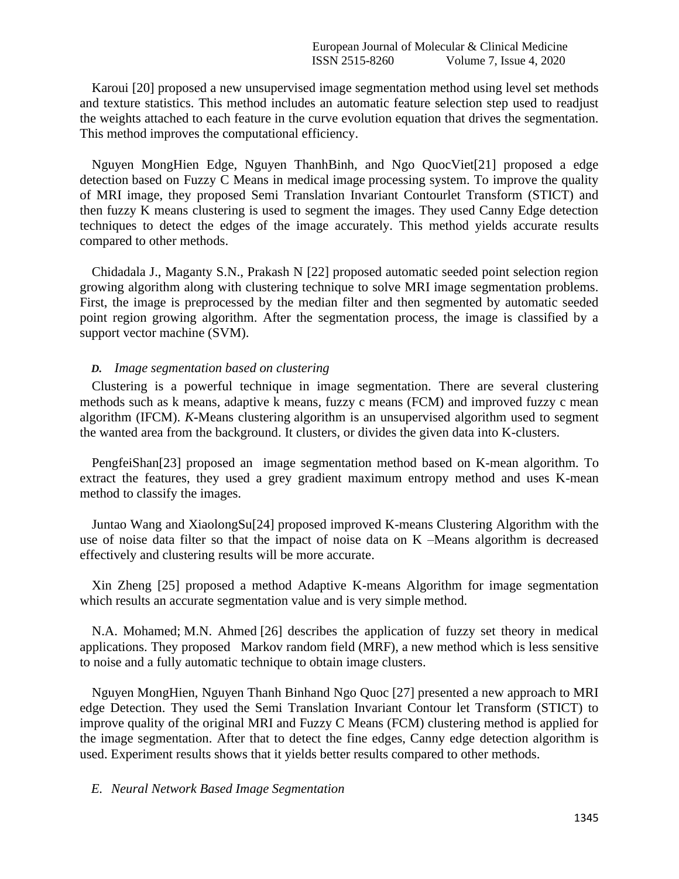Karoui [20] proposed a new unsupervised image segmentation method using level set methods and texture statistics. This method includes an automatic feature selection step used to readjust the weights attached to each feature in the curve evolution equation that drives the segmentation. This method improves the computational efficiency.

Nguyen MongHien Edge, Nguyen ThanhBinh, and Ngo QuocViet[21] proposed a edge detection based on Fuzzy C Means in medical image processing system. To improve the quality of MRI image, they proposed Semi Translation Invariant Contourlet Transform (STICT) and then fuzzy K means clustering is used to segment the images. They used Canny Edge detection techniques to detect the edges of the image accurately. This method yields accurate results compared to other methods.

Chidadala J., Maganty S.N., Prakash N [22] proposed automatic seeded point selection region growing algorithm along with clustering technique to solve MRI image segmentation problems. First, the image is preprocessed by the median filter and then segmented by automatic seeded point region growing algorithm. After the segmentation process, the image is classified by a support vector machine (SVM).

## *D. Image segmentation based on clustering*

Clustering is a powerful technique in image segmentation. There are several clustering methods such as k means, adaptive k means, fuzzy c means (FCM) and improved fuzzy c mean algorithm (IFCM). *K***-**Means clustering algorithm is an unsupervised algorithm used to segment the wanted area from the background. It clusters, or divides the given data into K-clusters.

PengfeiShan[23] proposed an image segmentation method based on K-mean algorithm. To extract the features, they used a grey gradient maximum entropy method and uses K-mean method to classify the images.

Juntao Wang and XiaolongSu[24] proposed improved K-means Clustering Algorithm with the use of noise data filter so that the impact of noise data on K –Means algorithm is decreased effectively and clustering results will be more accurate.

Xin Zheng [25] proposed a method Adaptive K-means Algorithm for image segmentation which results an accurate segmentation value and is very simple method.

N.A. Mohamed; M.N. Ahmed [26] describes the application of fuzzy set theory in medical applications. They proposed Markov random field (MRF), a new method which is less sensitive to noise and a fully automatic technique to obtain image clusters.

Nguyen MongHien, Nguyen Thanh Binhand Ngo Quoc [27] presented a new approach to MRI edge Detection. They used the Semi Translation Invariant Contour let Transform (STICT) to improve quality of the original MRI and Fuzzy C Means (FCM) clustering method is applied for the image segmentation. After that to detect the fine edges, Canny edge detection algorithm is used. Experiment results shows that it yields better results compared to other methods.

#### *E. Neural Network Based Image Segmentation*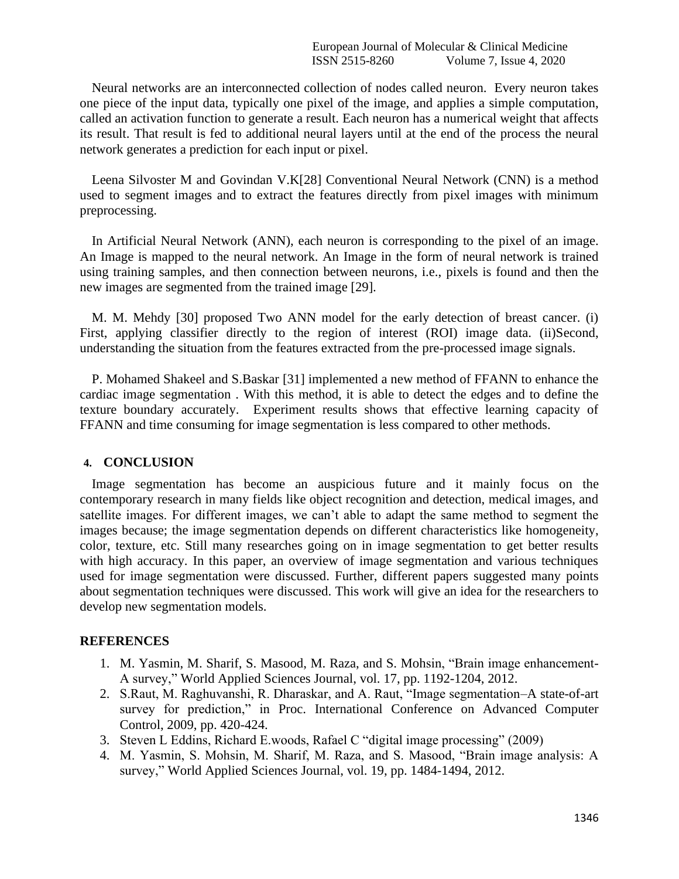European Journal of Molecular & Clinical Medicine ISSN 2515-8260 Volume 7, Issue 4, 2020

Neural networks are an interconnected collection of nodes called neuron. Every neuron takes one piece of the input data, typically one pixel of the image, and applies a simple computation, called an activation function to generate a result. Each neuron has a numerical weight that affects its result. That result is fed to additional neural layers until at the end of the process the neural network generates a prediction for each input or pixel.

Leena Silvoster M and Govindan V.K[28] Conventional Neural Network (CNN) is a method used to segment images and to extract the features directly from pixel images with minimum preprocessing.

In Artificial Neural Network (ANN), each neuron is corresponding to the pixel of an image. An Image is mapped to the neural network. An Image in the form of neural network is trained using training samples, and then connection between neurons, i.e., pixels is found and then the new images are segmented from the trained image [29].

M. M. Mehdy [30] proposed Two ANN model for the early detection of breast cancer. (i) First, applying classifier directly to the region of interest (ROI) image data. (ii)Second, understanding the situation from the features extracted from the pre-processed image signals.

P. Mohamed Shakeel and S.Baskar [31] implemented a new method of FFANN to enhance the cardiac image segmentation . With this method, it is able to detect the edges and to define the texture boundary accurately. Experiment results shows that effective learning capacity of FFANN and time consuming for image segmentation is less compared to other methods.

#### **4. CONCLUSION**

Image segmentation has become an auspicious future and it mainly focus on the contemporary research in many fields like object recognition and detection, medical images, and satellite images. For different images, we can't able to adapt the same method to segment the images because; the image segmentation depends on different characteristics like homogeneity, color, texture, etc. Still many researches going on in image segmentation to get better results with high accuracy. In this paper, an overview of image segmentation and various techniques used for image segmentation were discussed. Further, different papers suggested many points about segmentation techniques were discussed. This work will give an idea for the researchers to develop new segmentation models.

#### **REFERENCES**

- 1. M. Yasmin, M. Sharif, S. Masood, M. Raza, and S. Mohsin, "Brain image enhancement-A survey," World Applied Sciences Journal, vol. 17, pp. 1192-1204, 2012.
- 2. S.Raut, M. Raghuvanshi, R. Dharaskar, and A. Raut, "Image segmentation–A state-of-art survey for prediction," in Proc. International Conference on Advanced Computer Control, 2009, pp. 420-424.
- 3. Steven L Eddins, Richard E.woods, Rafael C "digital image processing" (2009)
- 4. M. Yasmin, S. Mohsin, M. Sharif, M. Raza, and S. Masood, "Brain image analysis: A survey," World Applied Sciences Journal, vol. 19, pp. 1484-1494, 2012.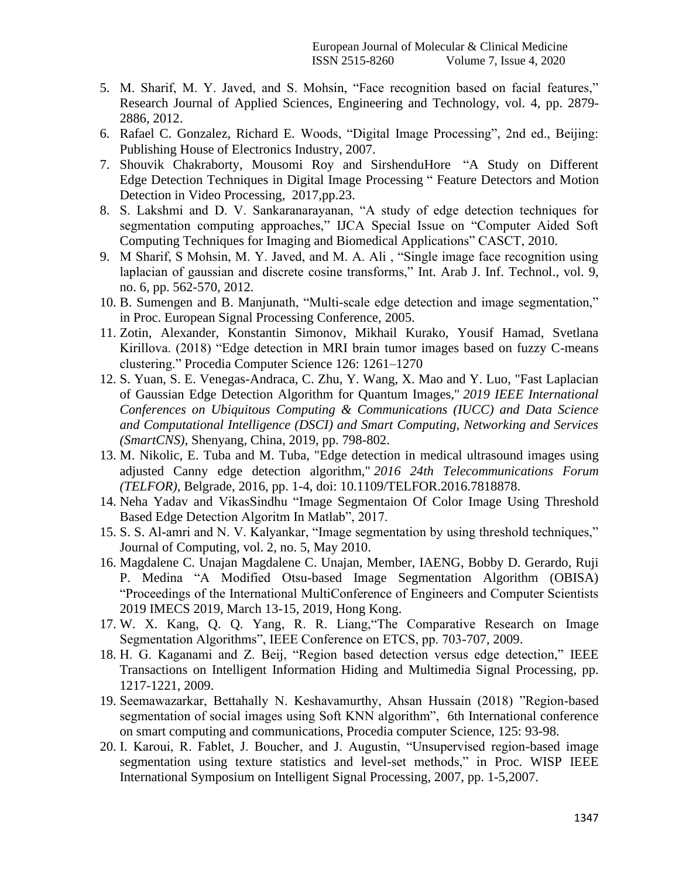- 5. M. Sharif, M. Y. Javed, and S. Mohsin, "Face recognition based on facial features," Research Journal of Applied Sciences, Engineering and Technology, vol. 4, pp. 2879- 2886, 2012.
- 6. Rafael C. Gonzalez, Richard E. Woods, "Digital Image Processing", 2nd ed., Beijing: Publishing House of Electronics Industry, 2007.
- 7. Shouvik Chakraborty, Mousomi Roy and SirshenduHore "A Study on Different Edge Detection Techniques in Digital Image Processing " Feature Detectors and Motion Detection in Video Processing, 2017,pp.23.
- 8. S. Lakshmi and D. V. Sankaranarayanan, "A study of edge detection techniques for segmentation computing approaches," IJCA Special Issue on "Computer Aided Soft Computing Techniques for Imaging and Biomedical Applications" CASCT, 2010.
- 9. M Sharif, S Mohsin, M. Y. Javed, and M. A. Ali , "Single image face recognition using laplacian of gaussian and discrete cosine transforms," Int. Arab J. Inf. Technol., vol. 9, no. 6, pp. 562-570, 2012.
- 10. B. Sumengen and B. Manjunath, "Multi-scale edge detection and image segmentation," in Proc. European Signal Processing Conference, 2005.
- 11. Zotin, Alexander, Konstantin Simonov, Mikhail Kurako, Yousif Hamad, Svetlana Kirillova. (2018) "Edge detection in MRI brain tumor images based on fuzzy C-means clustering." Procedia Computer Science 126: 1261–1270
- 12. S. Yuan, S. E. Venegas-Andraca, C. Zhu, Y. Wang, X. Mao and Y. Luo, "Fast Laplacian of Gaussian Edge Detection Algorithm for Quantum Images," *2019 IEEE International Conferences on Ubiquitous Computing & Communications (IUCC) and Data Science and Computational Intelligence (DSCI) and Smart Computing, Networking and Services (SmartCNS)*, Shenyang, China, 2019, pp. 798-802.
- 13. M. Nikolic, E. Tuba and M. Tuba, "Edge detection in medical ultrasound images using adjusted Canny edge detection algorithm," *2016 24th Telecommunications Forum (TELFOR)*, Belgrade, 2016, pp. 1-4, doi: 10.1109/TELFOR.2016.7818878.
- 14. Neha Yadav and VikasSindhu "Image Segmentaion Of Color Image Using Threshold Based Edge Detection Algoritm In Matlab", 2017.
- 15. S. S. Al-amri and N. V. Kalyankar, "Image segmentation by using threshold techniques," Journal of Computing, vol. 2, no. 5, May 2010.
- 16. Magdalene C. Unajan Magdalene C. Unajan, Member, IAENG, Bobby D. Gerardo, Ruji P. Medina "A Modified Otsu-based Image Segmentation Algorithm (OBISA) "Proceedings of the International MultiConference of Engineers and Computer Scientists 2019 IMECS 2019, March 13-15, 2019, Hong Kong.
- 17. W. X. Kang, Q. Q. Yang, R. R. Liang,"The Comparative Research on Image Segmentation Algorithms", IEEE Conference on ETCS, pp. 703-707, 2009.
- 18. H. G. Kaganami and Z. Beij, "Region based detection versus edge detection," IEEE Transactions on Intelligent Information Hiding and Multimedia Signal Processing, pp. 1217-1221, 2009.
- 19. Seemawazarkar, Bettahally N. Keshavamurthy, Ahsan Hussain (2018) "Region-based segmentation of social images using Soft KNN algorithm", 6th International conference on smart computing and communications, Procedia computer Science, 125: 93-98.
- 20. I. Karoui, R. Fablet, J. Boucher, and J. Augustin, "Unsupervised region-based image segmentation using texture statistics and level-set methods," in Proc. WISP IEEE International Symposium on Intelligent Signal Processing, 2007, pp. 1-5,2007.